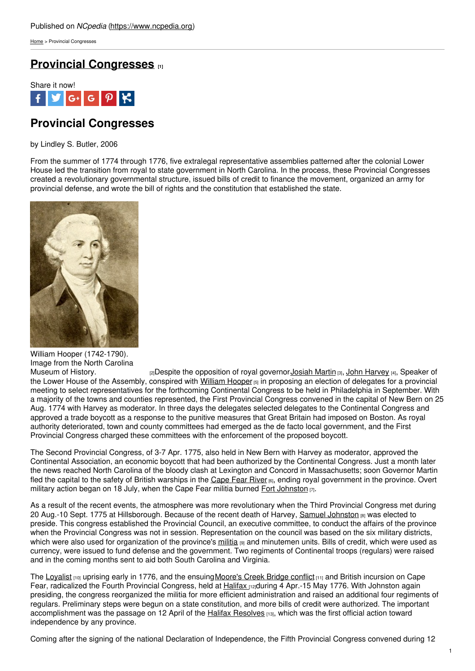[Home](https://www.ncpedia.org/) > Provincial Congresses

## **Provincial [Congresses](https://www.ncpedia.org/provincial-congresses) [1]**



# **Provincial Congresses**

by Lindley S. Butler, 2006

From the summer of 1774 through 1776, five extralegal representative assemblies patterned after the colonial Lower House led the transition from royal to state government in North Carolina. In the process, these Provincial Congresses created a revolutionary governmental structure, issued bills of credit to finance the movement, organized an army for provincial defense, and wrote the bill of rights and the constitution that established the state.



William Hooper (1742-1790). Image from the North Carolina<br>Museum of History.

[2]Despite the opposition of royal governor [Josiah](https://www.ncpedia.org/martin-josiah) Martin [3], John [Harvey](https://www.ncpedia.org/harvey-john) [4], Speaker of the Lower House of the Assembly, conspired with [William](https://www.ncpedia.org/biography/hooper-william) Hooper [5] in proposing an election of delegates for a provincial meeting to select representatives for the forthcoming Continental Congress to be held in Philadelphia in September. With a majority of the towns and counties represented, the First Provincial Congress convened in the capital of New Bern on 25 Aug. 1774 with Harvey as moderator. In three days the delegates selected delegates to the Continental Congress and approved a trade boycott as a response to the punitive measures that Great Britain had imposed on Boston. As royal authority deteriorated, town and county committees had emerged as the de facto local government, and the First Provincial Congress charged these committees with the enforcement of the proposed boycott.

The Second Provincial Congress, of 3-7 Apr. 1775, also held in New Bern with Harvey as moderator, approved the Continental Association, an economic boycott that had been authorized by the Continental Congress. Just a month later the news reached North Carolina of the bloody clash at Lexington and Concord in Massachusetts; soon Governor Martin fled the capital to the safety of British warships in the [Cape](https://www.ncpedia.org/rivers/cape-fear) Fear River [6], ending royal government in the province. Overt military action began on 18 July, when the Cape Fear militia burned Fort [Johnston](https://www.ncpedia.org/fort-johnston)  $\overline{p}$ .

As a result of the recent events, the atmosphere was more revolutionary when the Third Provincial Congress met during 20 Aug.-10 Sept. 1775 at Hillsborough. Because of the recent death of Harvey, Samuel [Johnston](https://www.ncpedia.org/johnston-samuel) [8] was elected to preside. This congress established the Provincial Council, an executive committee, to conduct the affairs of the province when the Provincial Congress was not in session. Representation on the council was based on the six military districts, which were also used for organization of the province's [militia](https://www.ncpedia.org/militias-colonial) [9] and minutemen units. Bills of credit, which were used as currency, were issued to fund defense and the government. Two regiments of Continental troops (regulars) were raised and in the coming months sent to aid both South Carolina and Virginia.

The [Loyalist](https://www.ncpedia.org/loyalists)  $100$  uprising early in 1776, and the ensuing Moore's Creek Bridge conflict  $111$  and British incursion on Cape Fear, radicalized the Fourth Provincial Congress, held at [Halifax](https://www.ncpedia.org/halifax) radicuring 4 Apr.-15 May 1776. With Johnston again presiding, the congress reorganized the militia for more efficient administration and raised an additional four regiments of regulars. Preliminary steps were begun on a state constitution, and more bills of credit were authorized. The important accomplishment was the passage on 12 April of the Halifax [Resolves](https://www.ncpedia.org/history/usrevolution/halifax-resolves) [13], which was the first official action toward independence by any province.

Coming after the signing of the national Declaration of Independence, the Fifth Provincial Congress convened during 12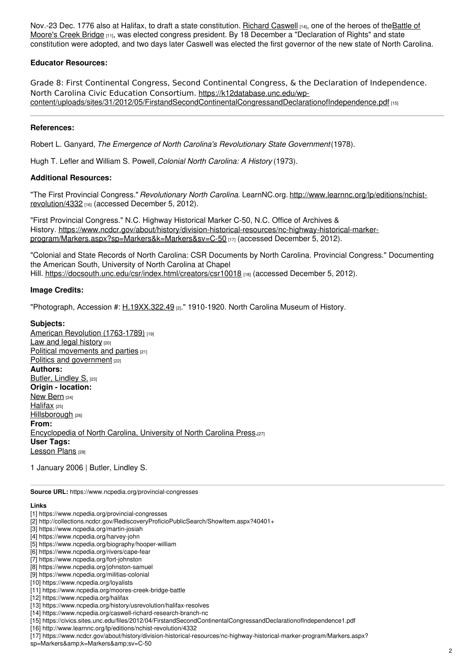Nov.-23 Dec. 1776 also at Halifax, to draft a state constitution. Richard [Caswell](https://www.ncpedia.org/caswell-richard-research-branch-nc) [14], one of the heroes of the Battle of Moore's Creek Bridge [11], was elected congress president. By 18 December a ["Declaration](https://www.ncpedia.org/moores-creek-bridge-battle) of Rights" and state constitution were adopted, and two days later Caswell was elected the first governor of the new state of North Carolina.

#### **Educator Resources:**

Grade 8: First Continental Congress, Second Continental Congress, & the Declaration of Independence. North Carolina Civic Education Consortium. https://k12database.unc.edu/wp[content/uploads/sites/31/2012/05/FirstandSecondContinentalCongressandDeclarationofIndependence.pdf](https://civics.sites.unc.edu/files/2012/04/FirstandSecondContinentalCongressandDeclarationofIndependence1.pdf) [15]

### **References:**

Robert L. Ganyard, *The Emergence of North Carolina's Revolutionary State Government*(1978).

Hugh T. Lefler and William S. Powell,*Colonial North Carolina: A History* (1973).

#### **Additional Resources:**

"The First Provincial Congress." *Revolutionary North Carolina*. LearnNC.org. [http://www.learnnc.org/lp/editions/nchist](http://www.learnnc.org/lp/editions/nchist-revolution/4332)revolution/4332 [16] (accessed December 5, 2012).

"First Provincial Congress." N.C. Highway Historical Marker C-50, N.C. Office of Archives & History. [https://www.ncdcr.gov/about/history/division-historical-resources/nc-highway-historical-marker](https://www.ncdcr.gov/about/history/division-historical-resources/nc-highway-historical-marker-program/Markers.aspx?sp=Markers&k=Markers&sv=C-50)program/Markers.aspx?sp=Markers&k=Markers&sv=C-50 [17] (accessed December 5, 2012).

"Colonial and State Records of North Carolina: CSR Documents by North Carolina. Provincial Congress." Documenting the American South, University of North Carolina at Chapel Hill. <https://docsouth.unc.edu/csr/index.html/creators/csr10018> [18] (accessed December 5, 2012).

#### **Image Credits:**

"Photograph, Accession #:  $\underline{H.19XX.322.49}$  $\underline{H.19XX.322.49}$  $\underline{H.19XX.322.49}$  [2]." 1910-1920. North Carolina Museum of History.

#### **Subjects:**

American Revolution [\(1763-1789\)](https://www.ncpedia.org/category/subjects/us-revolution) [19] Law and legal [history](https://www.ncpedia.org/category/subjects/laws) [20] Political [movements](https://www.ncpedia.org/category/subjects/political-movemen) and parties [21] Politics and [government](https://www.ncpedia.org/category/subjects/politics-and-gove) [22] **Authors:** Butler, [Lindley](https://www.ncpedia.org/category/authors/butler-lindley-s) S. [23] **Origin - location:** New [Bern](https://www.ncpedia.org/category/origin-location/coastal-41) [24] [Halifax](https://www.ncpedia.org/category/origin-location/halifax) [25] [Hillsborough](https://www.ncpedia.org/category/origin-location/piedmont-6) [26] **From:** [Encyclopedia](https://www.ncpedia.org/category/entry-source/encyclopedia-) of North Carolina, University of North Carolina Press.[27] **User Tags:** [Lesson](https://www.ncpedia.org/category/user-tags/lesson-plans) Plans [28]

1 January 2006 | Butler, Lindley S.

**Source URL:** https://www.ncpedia.org/provincial-congresses

## **Links**

- [1] https://www.ncpedia.org/provincial-congresses
- [2] http://collections.ncdcr.gov/RediscoveryProficioPublicSearch/ShowItem.aspx?40401+
- [3] https://www.ncpedia.org/martin-josiah
- [4] https://www.ncpedia.org/harvey-john
- [5] https://www.ncpedia.org/biography/hooper-william
- [6] https://www.ncpedia.org/rivers/cape-fear
- [7] https://www.ncpedia.org/fort-johnston
- [8] https://www.ncpedia.org/johnston-samuel
- [9] https://www.ncpedia.org/militias-colonial
- [10] https://www.ncpedia.org/loyalists [11] https://www.ncpedia.org/moores-creek-bridge-battle
- [12] https://www.ncpedia.org/halifax
- 
- [13] https://www.ncpedia.org/history/usrevolution/halifax-resolves [14] https://www.ncpedia.org/caswell-richard-research-branch-nc
- [15] https://civics.sites.unc.edu/files/2012/04/FirstandSecondContinentalCongressandDeclarationofIndependence1.pdf
- [16] http://www.learnnc.org/lp/editions/nchist-revolution/4332
- [17] https://www.ncdcr.gov/about/history/division-historical-resources/nc-highway-historical-marker-program/Markers.aspx?

sp=Markers&k=Markers&sv=C-50